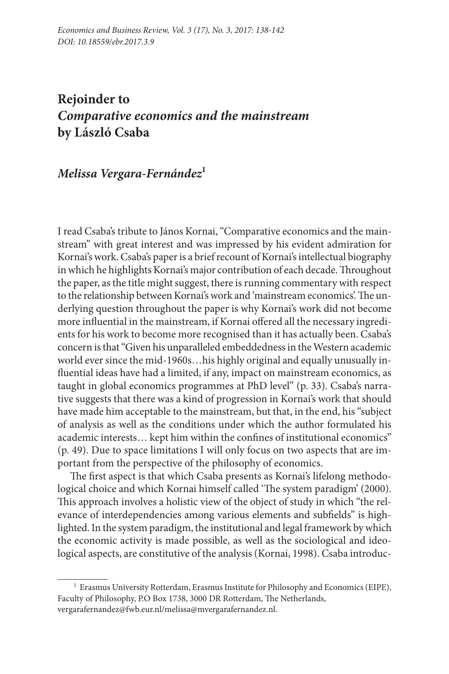## **Rejoinder to** *Comparative economics and the mainstream* **by László Csaba**

## *Melissa Vergara-Fernández***<sup>1</sup>**

I read Csaba's tribute to János Kornai, "Comparative economics and the mainstream" with great interest and was impressed by his evident admiration for Kornai's work. Csaba's paper is a brief recount of Kornai's intellectual biography in which he highlights Kornai's major contribution of each decade. Throughout the paper, as the title might suggest, there is running commentary with respect to the relationship between Kornai's work and 'mainstream economics'. The underlying question throughout the paper is why Kornai's work did not become more influential in the mainstream, if Kornai offered all the necessary ingredients for his work to become more recognised than it has actually been. Csaba's concern is that "Given his unparalleled embeddedness in the Western academic world ever since the mid-1960s…his highly original and equally unusually influential ideas have had a limited, if any, impact on mainstream economics, as taught in global economics programmes at PhD level" (p. 33). Csaba's narrative suggests that there was a kind of progression in Kornai's work that should have made him acceptable to the mainstream, but that, in the end, his "subject of analysis as well as the conditions under which the author formulated his academic interests… kept him within the confines of institutional economics" (p. 49). Due to space limitations I will only focus on two aspects that are important from the perspective of the philosophy of economics.

The first aspect is that which Csaba presents as Kornai's lifelong methodological choice and which Kornai himself called 'The system paradigm' (2000). This approach involves a holistic view of the object of study in which "the relevance of interdependencies among various elements and subfields" is highlighted. In the system paradigm, the institutional and legal framework by which the economic activity is made possible, as well as the sociological and ideological aspects, are constitutive of the analysis (Kornai, 1998). Csaba introduc-

<sup>1</sup> Erasmus University Rotterdam, Erasmus Institute for Philosophy and Economics (EIPE), Faculty of Philosophy, P.O Box 1738, 3000 DR Rotterdam, The Netherlands, vergarafernandez@fwb.eur.nl/melissa@mvergarafernandez.nl.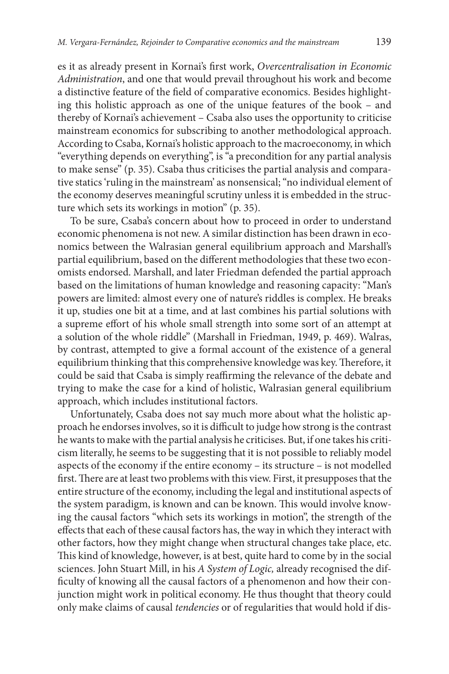es it as already present in Kornai's first work, *Overcentralisation in Economic Administration*, and one that would prevail throughout his work and become a distinctive feature of the field of comparative economics. Besides highlighting this holistic approach as one of the unique features of the book – and thereby of Kornai's achievement – Csaba also uses the opportunity to criticise mainstream economics for subscribing to another methodological approach. According to Csaba, Kornai's holistic approach to the macroeconomy, in which "everything depends on everything", is "a precondition for any partial analysis to make sense" (p. 35). Csaba thus criticises the partial analysis and comparative statics 'ruling in the mainstream' as nonsensical; "no individual element of the economy deserves meaningful scrutiny unless it is embedded in the structure which sets its workings in motion" (p. 35).

To be sure, Csaba's concern about how to proceed in order to understand economic phenomena is not new. A similar distinction has been drawn in economics between the Walrasian general equilibrium approach and Marshall's partial equilibrium, based on the different methodologies that these two economists endorsed. Marshall, and later Friedman defended the partial approach based on the limitations of human knowledge and reasoning capacity: "Man's powers are limited: almost every one of nature's riddles is complex. He breaks it up, studies one bit at a time, and at last combines his partial solutions with a supreme effort of his whole small strength into some sort of an attempt at a solution of the whole riddle" (Marshall in Friedman, 1949, p. 469). Walras, by contrast, attempted to give a formal account of the existence of a general equilibrium thinking that this comprehensive knowledge was key. Therefore, it could be said that Csaba is simply reaffirming the relevance of the debate and trying to make the case for a kind of holistic, Walrasian general equilibrium approach, which includes institutional factors.

Unfortunately, Csaba does not say much more about what the holistic approach he endorses involves, so it is difficult to judge how strong is the contrast he wants to make with the partial analysis he criticises. But, if one takes his criticism literally, he seems to be suggesting that it is not possible to reliably model aspects of the economy if the entire economy – its structure – is not modelled first. There are at least two problems with this view. First, it presupposes that the entire structure of the economy, including the legal and institutional aspects of the system paradigm, is known and can be known. This would involve knowing the causal factors "which sets its workings in motion", the strength of the effects that each of these causal factors has, the way in which they interact with other factors, how they might change when structural changes take place, etc. This kind of knowledge, however, is at best, quite hard to come by in the social sciences. John Stuart Mill, in his *A System of Logic,* already recognised the difficulty of knowing all the causal factors of a phenomenon and how their conjunction might work in political economy. He thus thought that theory could only make claims of causal *tendencies* or of regularities that would hold if dis-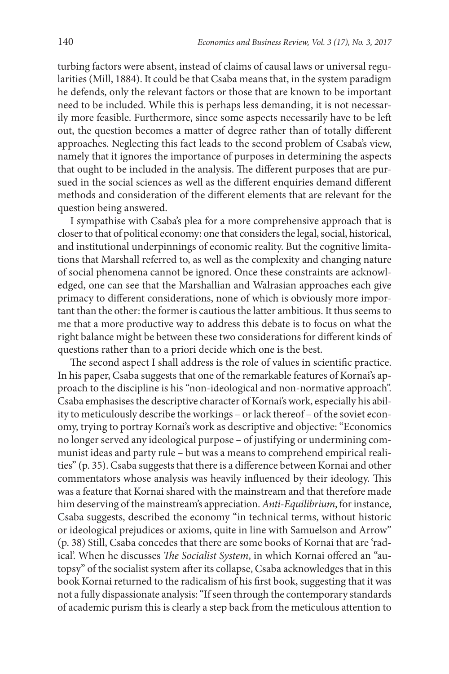turbing factors were absent, instead of claims of causal laws or universal regularities (Mill, 1884). It could be that Csaba means that, in the system paradigm he defends, only the relevant factors or those that are known to be important need to be included. While this is perhaps less demanding, it is not necessarily more feasible. Furthermore, since some aspects necessarily have to be left out, the question becomes a matter of degree rather than of totally different approaches. Neglecting this fact leads to the second problem of Csaba's view, namely that it ignores the importance of purposes in determining the aspects that ought to be included in the analysis. The different purposes that are pursued in the social sciences as well as the different enquiries demand different methods and consideration of the different elements that are relevant for the question being answered.

I sympathise with Csaba's plea for a more comprehensive approach that is closer to that of political economy: one that considers the legal, social, historical, and institutional underpinnings of economic reality. But the cognitive limitations that Marshall referred to, as well as the complexity and changing nature of social phenomena cannot be ignored. Once these constraints are acknowledged, one can see that the Marshallian and Walrasian approaches each give primacy to different considerations, none of which is obviously more important than the other: the former is cautious the latter ambitious. It thus seems to me that a more productive way to address this debate is to focus on what the right balance might be between these two considerations for different kinds of questions rather than to a priori decide which one is the best.

The second aspect I shall address is the role of values in scientific practice. In his paper, Csaba suggests that one of the remarkable features of Kornai's approach to the discipline is his "non-ideological and non-normative approach". Csaba emphasises the descriptive character of Kornai's work, especially his ability to meticulously describe the workings – or lack thereof – of the soviet economy, trying to portray Kornai's work as descriptive and objective: "Economics no longer served any ideological purpose – of justifying or undermining communist ideas and party rule – but was a means to comprehend empirical realities" (p. 35). Csaba suggests that there is a difference between Kornai and other commentators whose analysis was heavily influenced by their ideology. This was a feature that Kornai shared with the mainstream and that therefore made him deserving of the mainstream's appreciation. *Anti-Equilibrium*, for instance, Csaba suggests, described the economy "in technical terms, without historic or ideological prejudices or axioms, quite in line with Samuelson and Arrow" (p. 38) Still, Csaba concedes that there are some books of Kornai that are 'radical'. When he discusses *The Socialist System*, in which Kornai offered an "autopsy" of the socialist system after its collapse, Csaba acknowledges that in this book Kornai returned to the radicalism of his first book, suggesting that it was not a fully dispassionate analysis: "If seen through the contemporary standards of academic purism this is clearly a step back from the meticulous attention to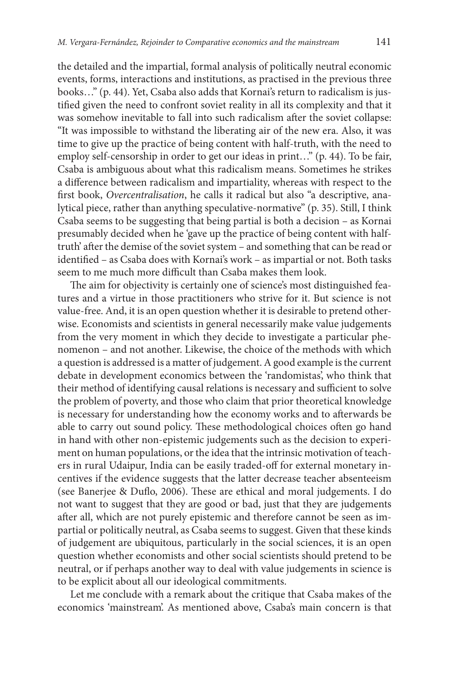the detailed and the impartial, formal analysis of politically neutral economic events, forms, interactions and institutions, as practised in the previous three books…" (p. 44). Yet, Csaba also adds that Kornai's return to radicalism is justified given the need to confront soviet reality in all its complexity and that it was somehow inevitable to fall into such radicalism after the soviet collapse: "It was impossible to withstand the liberating air of the new era. Also, it was time to give up the practice of being content with half-truth, with the need to employ self-censorship in order to get our ideas in print…" (p. 44). To be fair, Csaba is ambiguous about what this radicalism means. Sometimes he strikes a difference between radicalism and impartiality, whereas with respect to the first book, *Overcentralisation*, he calls it radical but also "a descriptive, analytical piece, rather than anything speculative-normative" (p. 35). Still, I think Csaba seems to be suggesting that being partial is both a decision – as Kornai presumably decided when he 'gave up the practice of being content with halftruth' after the demise of the soviet system – and something that can be read or identified – as Csaba does with Kornai's work – as impartial or not. Both tasks seem to me much more difficult than Csaba makes them look.

The aim for objectivity is certainly one of science's most distinguished features and a virtue in those practitioners who strive for it. But science is not value-free. And, it is an open question whether it is desirable to pretend otherwise. Economists and scientists in general necessarily make value judgements from the very moment in which they decide to investigate a particular phenomenon – and not another. Likewise, the choice of the methods with which a question is addressed is a matter of judgement. A good example is the current debate in development economics between the 'randomistas', who think that their method of identifying causal relations is necessary and sufficient to solve the problem of poverty, and those who claim that prior theoretical knowledge is necessary for understanding how the economy works and to afterwards be able to carry out sound policy. These methodological choices often go hand in hand with other non-epistemic judgements such as the decision to experiment on human populations, or the idea that the intrinsic motivation of teachers in rural Udaipur, India can be easily traded-off for external monetary incentives if the evidence suggests that the latter decrease teacher absenteeism (see Banerjee & Duflo, 2006). These are ethical and moral judgements. I do not want to suggest that they are good or bad, just that they are judgements after all, which are not purely epistemic and therefore cannot be seen as impartial or politically neutral, as Csaba seems to suggest. Given that these kinds of judgement are ubiquitous, particularly in the social sciences, it is an open question whether economists and other social scientists should pretend to be neutral, or if perhaps another way to deal with value judgements in science is to be explicit about all our ideological commitments.

Let me conclude with a remark about the critique that Csaba makes of the economics 'mainstream'. As mentioned above, Csaba's main concern is that